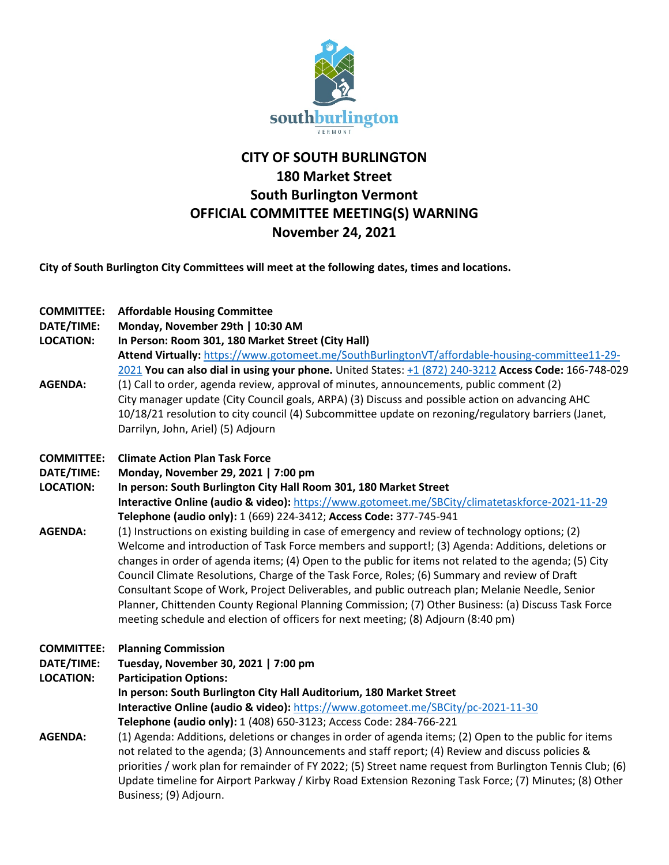

## **CITY OF SOUTH BURLINGTON 180 Market Street South Burlington Vermont OFFICIAL COMMITTEE MEETING(S) WARNING November 24, 2021**

**City of South Burlington City Committees will meet at the following dates, times and locations.** 

| <b>COMMITTEE:</b><br>DATE/TIME:<br><b>LOCATION:</b><br><b>AGENDA:</b> | <b>Affordable Housing Committee</b><br>Monday, November 29th   10:30 AM<br>In Person: Room 301, 180 Market Street (City Hall)<br>Attend Virtually: https://www.gotomeet.me/SouthBurlingtonVT/affordable-housing-committee11-29-<br>2021 You can also dial in using your phone. United States: +1 (872) 240-3212 Access Code: 166-748-029<br>(1) Call to order, agenda review, approval of minutes, announcements, public comment (2)<br>City manager update (City Council goals, ARPA) (3) Discuss and possible action on advancing AHC<br>10/18/21 resolution to city council (4) Subcommittee update on rezoning/regulatory barriers (Janet,<br>Darrilyn, John, Ariel) (5) Adjourn                                                                                                  |
|-----------------------------------------------------------------------|---------------------------------------------------------------------------------------------------------------------------------------------------------------------------------------------------------------------------------------------------------------------------------------------------------------------------------------------------------------------------------------------------------------------------------------------------------------------------------------------------------------------------------------------------------------------------------------------------------------------------------------------------------------------------------------------------------------------------------------------------------------------------------------|
| <b>COMMITTEE:</b><br>DATE/TIME:                                       | <b>Climate Action Plan Task Force</b><br>Monday, November 29, 2021   7:00 pm                                                                                                                                                                                                                                                                                                                                                                                                                                                                                                                                                                                                                                                                                                          |
| <b>LOCATION:</b>                                                      | In person: South Burlington City Hall Room 301, 180 Market Street<br>Interactive Online (audio & video): https://www.gotomeet.me/SBCity/climatetaskforce-2021-11-29                                                                                                                                                                                                                                                                                                                                                                                                                                                                                                                                                                                                                   |
| <b>AGENDA:</b>                                                        | Telephone (audio only): 1 (669) 224-3412; Access Code: 377-745-941<br>(1) Instructions on existing building in case of emergency and review of technology options; (2)<br>Welcome and introduction of Task Force members and support!; (3) Agenda: Additions, deletions or<br>changes in order of agenda items; (4) Open to the public for items not related to the agenda; (5) City<br>Council Climate Resolutions, Charge of the Task Force, Roles; (6) Summary and review of Draft<br>Consultant Scope of Work, Project Deliverables, and public outreach plan; Melanie Needle, Senior<br>Planner, Chittenden County Regional Planning Commission; (7) Other Business: (a) Discuss Task Force<br>meeting schedule and election of officers for next meeting; (8) Adjourn (8:40 pm) |
| <b>COMMITTEE:</b><br>DATE/TIME:<br><b>LOCATION:</b>                   | <b>Planning Commission</b><br>Tuesday, November 30, 2021   7:00 pm<br><b>Participation Options:</b><br>In person: South Burlington City Hall Auditorium, 180 Market Street<br>Interactive Online (audio & video): https://www.gotomeet.me/SBCity/pc-2021-11-30<br>Telephone (audio only): 1 (408) 650-3123; Access Code: 284-766-221                                                                                                                                                                                                                                                                                                                                                                                                                                                  |
| <b>AGENDA:</b>                                                        | (1) Agenda: Additions, deletions or changes in order of agenda items; (2) Open to the public for items<br>not related to the agenda; (3) Announcements and staff report; (4) Review and discuss policies &<br>priorities / work plan for remainder of FY 2022; (5) Street name request from Burlington Tennis Club; (6)<br>Update timeline for Airport Parkway / Kirby Road Extension Rezoning Task Force; (7) Minutes; (8) Other<br>Business; (9) Adjourn.                                                                                                                                                                                                                                                                                                                           |